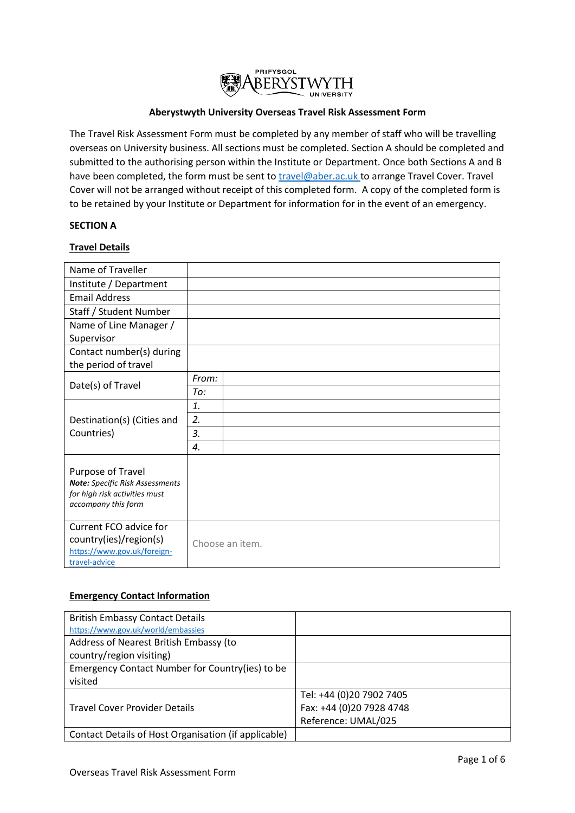

# **Aberystwyth University Overseas Travel Risk Assessment Form**

The Travel Risk Assessment Form must be completed by any member of staff who will be travelling overseas on University business. All sections must be completed. Section A should be completed and submitted to the authorising person within the Institute or Department. Once both Sections A and B have been completed, the form must be sent t[o travel@aber.ac.uk](mailto:travel@aber.ac.uk) to arrange Travel Cover. Travel Cover will not be arranged without receipt of this completed form. A copy of the completed form is to be retained by your Institute or Department for information for in the event of an emergency.

## **SECTION A**

# **Travel Details**

| Name of Traveller                                                                                            |                 |
|--------------------------------------------------------------------------------------------------------------|-----------------|
| Institute / Department                                                                                       |                 |
| <b>Email Address</b>                                                                                         |                 |
| Staff / Student Number                                                                                       |                 |
| Name of Line Manager /                                                                                       |                 |
| Supervisor                                                                                                   |                 |
| Contact number(s) during                                                                                     |                 |
| the period of travel                                                                                         |                 |
| Date(s) of Travel                                                                                            | From:           |
|                                                                                                              | To:             |
|                                                                                                              | 1.              |
| Destination(s) (Cities and<br>Countries)                                                                     | 2.              |
|                                                                                                              | 3.              |
|                                                                                                              | 4.              |
| Purpose of Travel<br>Note: Specific Risk Assessments<br>for high risk activities must<br>accompany this form |                 |
| Current FCO advice for<br>country(ies)/region(s)<br>https://www.gov.uk/foreign-<br>travel-advice             | Choose an item. |

## **Emergency Contact Information**

| <b>British Embassy Contact Details</b>               |                          |
|------------------------------------------------------|--------------------------|
| https://www.gov.uk/world/embassies                   |                          |
| Address of Nearest British Embassy (to               |                          |
| country/region visiting)                             |                          |
| Emergency Contact Number for Country(ies) to be      |                          |
| visited                                              |                          |
|                                                      | Tel: +44 (0)20 7902 7405 |
| <b>Travel Cover Provider Details</b>                 | Fax: +44 (0)20 7928 4748 |
|                                                      | Reference: UMAL/025      |
| Contact Details of Host Organisation (if applicable) |                          |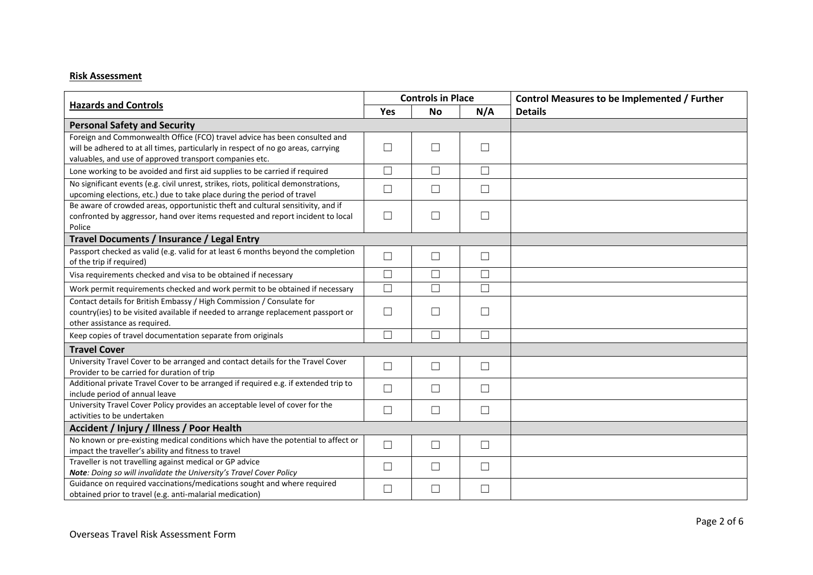# **Risk Assessment**

| <b>Hazards and Controls</b>                                                         |        | <b>Controls in Place</b> |        | Control Measures to be Implemented / Further |
|-------------------------------------------------------------------------------------|--------|--------------------------|--------|----------------------------------------------|
|                                                                                     |        | <b>No</b>                | N/A    | <b>Details</b>                               |
| <b>Personal Safety and Security</b>                                                 |        |                          |        |                                              |
| Foreign and Commonwealth Office (FCO) travel advice has been consulted and          |        |                          |        |                                              |
| will be adhered to at all times, particularly in respect of no go areas, carrying   | $\Box$ | П                        | $\Box$ |                                              |
| valuables, and use of approved transport companies etc.                             |        |                          |        |                                              |
| Lone working to be avoided and first aid supplies to be carried if required         | $\Box$ | $\Box$                   | $\Box$ |                                              |
| No significant events (e.g. civil unrest, strikes, riots, political demonstrations, | $\Box$ | $\Box$                   | $\Box$ |                                              |
| upcoming elections, etc.) due to take place during the period of travel             |        |                          |        |                                              |
| Be aware of crowded areas, opportunistic theft and cultural sensitivity, and if     |        |                          |        |                                              |
| confronted by aggressor, hand over items requested and report incident to local     | $\Box$ | $\Box$                   | $\Box$ |                                              |
| Police                                                                              |        |                          |        |                                              |
| Travel Documents / Insurance / Legal Entry                                          |        |                          |        |                                              |
| Passport checked as valid (e.g. valid for at least 6 months beyond the completion   | $\Box$ | $\Box$                   | $\Box$ |                                              |
| of the trip if required)                                                            |        |                          |        |                                              |
| Visa requirements checked and visa to be obtained if necessary                      | $\Box$ | $\Box$                   | $\Box$ |                                              |
| Work permit requirements checked and work permit to be obtained if necessary        | $\Box$ | $\Box$                   | $\Box$ |                                              |
| Contact details for British Embassy / High Commission / Consulate for               |        |                          |        |                                              |
| country(ies) to be visited available if needed to arrange replacement passport or   | $\Box$ | П                        | $\Box$ |                                              |
| other assistance as required.                                                       |        |                          |        |                                              |
| Keep copies of travel documentation separate from originals                         | $\Box$ | $\Box$                   | $\Box$ |                                              |
| <b>Travel Cover</b>                                                                 |        |                          |        |                                              |
| University Travel Cover to be arranged and contact details for the Travel Cover     | $\Box$ | $\Box$                   | $\Box$ |                                              |
| Provider to be carried for duration of trip                                         |        |                          |        |                                              |
| Additional private Travel Cover to be arranged if required e.g. if extended trip to | $\Box$ | $\Box$                   | ⊔      |                                              |
| include period of annual leave                                                      |        |                          |        |                                              |
| University Travel Cover Policy provides an acceptable level of cover for the        | $\Box$ | $\Box$                   | $\Box$ |                                              |
| activities to be undertaken                                                         |        |                          |        |                                              |
| Accident / Injury / Illness / Poor Health                                           |        |                          |        |                                              |
| No known or pre-existing medical conditions which have the potential to affect or   | $\Box$ | $\Box$                   | $\Box$ |                                              |
| impact the traveller's ability and fitness to travel                                |        |                          |        |                                              |
| Traveller is not travelling against medical or GP advice                            | $\Box$ | $\Box$                   | $\Box$ |                                              |
| Note: Doing so will invalidate the University's Travel Cover Policy                 |        |                          |        |                                              |
| Guidance on required vaccinations/medications sought and where required             | $\Box$ | П                        | $\Box$ |                                              |
| obtained prior to travel (e.g. anti-malarial medication)                            |        |                          |        |                                              |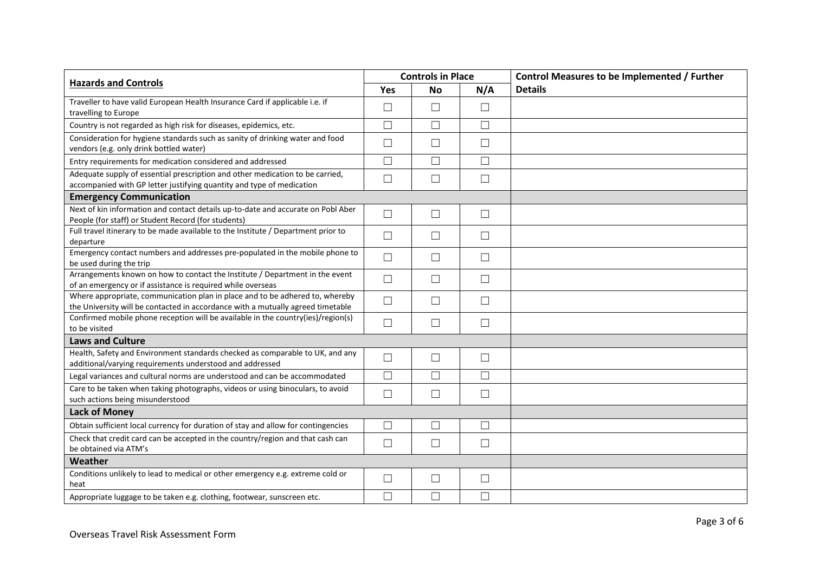| <b>Hazards and Controls</b>                                                                                                                                     |        | <b>Controls in Place</b> |        | <b>Control Measures to be Implemented / Further</b> |
|-----------------------------------------------------------------------------------------------------------------------------------------------------------------|--------|--------------------------|--------|-----------------------------------------------------|
|                                                                                                                                                                 |        | No                       | N/A    | <b>Details</b>                                      |
| Traveller to have valid European Health Insurance Card if applicable i.e. if                                                                                    |        | $\Box$                   | $\Box$ |                                                     |
| travelling to Europe                                                                                                                                            | $\Box$ |                          |        |                                                     |
| Country is not regarded as high risk for diseases, epidemics, etc.                                                                                              | $\Box$ | $\Box$                   | $\Box$ |                                                     |
| Consideration for hygiene standards such as sanity of drinking water and food<br>vendors (e.g. only drink bottled water)                                        | $\Box$ | $\Box$                   | $\Box$ |                                                     |
| Entry requirements for medication considered and addressed                                                                                                      | $\Box$ | $\Box$                   | $\Box$ |                                                     |
| Adequate supply of essential prescription and other medication to be carried,<br>accompanied with GP letter justifying quantity and type of medication          | $\Box$ | $\Box$                   | $\Box$ |                                                     |
| <b>Emergency Communication</b>                                                                                                                                  |        |                          |        |                                                     |
| Next of kin information and contact details up-to-date and accurate on Pobl Aber<br>People (for staff) or Student Record (for students)                         | $\Box$ | $\Box$                   | $\Box$ |                                                     |
| Full travel itinerary to be made available to the Institute / Department prior to<br>departure                                                                  | $\Box$ | $\Box$                   | $\Box$ |                                                     |
| Emergency contact numbers and addresses pre-populated in the mobile phone to<br>be used during the trip                                                         | $\Box$ | $\Box$                   | П      |                                                     |
| Arrangements known on how to contact the Institute / Department in the event<br>of an emergency or if assistance is required while overseas                     | $\Box$ | $\Box$                   | $\Box$ |                                                     |
| Where appropriate, communication plan in place and to be adhered to, whereby<br>the University will be contacted in accordance with a mutually agreed timetable | $\Box$ | $\Box$                   | $\Box$ |                                                     |
| Confirmed mobile phone reception will be available in the country(ies)/region(s)<br>to be visited                                                               | $\Box$ | $\Box$                   | $\Box$ |                                                     |
| <b>Laws and Culture</b>                                                                                                                                         |        |                          |        |                                                     |
| Health, Safety and Environment standards checked as comparable to UK, and any<br>additional/varying requirements understood and addressed                       | $\Box$ | $\Box$                   | $\Box$ |                                                     |
| Legal variances and cultural norms are understood and can be accommodated                                                                                       | $\Box$ | $\Box$                   | $\Box$ |                                                     |
| Care to be taken when taking photographs, videos or using binoculars, to avoid<br>such actions being misunderstood                                              | $\Box$ | $\Box$                   | $\Box$ |                                                     |
| <b>Lack of Money</b>                                                                                                                                            |        |                          |        |                                                     |
| Obtain sufficient local currency for duration of stay and allow for contingencies                                                                               | $\Box$ | $\Box$                   | $\Box$ |                                                     |
| Check that credit card can be accepted in the country/region and that cash can<br>be obtained via ATM's                                                         | $\Box$ | $\Box$                   | $\Box$ |                                                     |
| Weather                                                                                                                                                         |        |                          |        |                                                     |
| Conditions unlikely to lead to medical or other emergency e.g. extreme cold or<br>heat                                                                          | $\Box$ | $\Box$                   | $\Box$ |                                                     |
| Appropriate luggage to be taken e.g. clothing, footwear, sunscreen etc.                                                                                         | $\Box$ | $\Box$                   | $\Box$ |                                                     |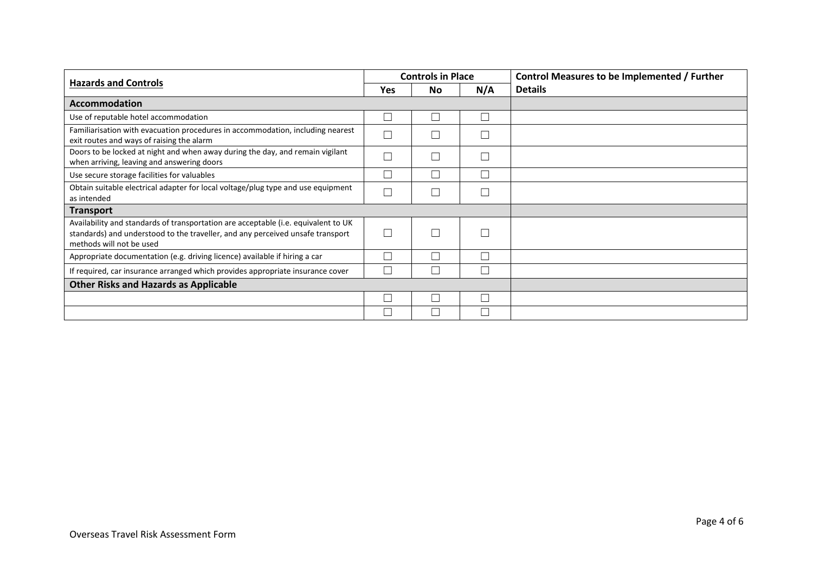| <b>Hazards and Controls</b>                                                                                                                                                                      |                          | <b>Controls in Place</b> |     | Control Measures to be Implemented / Further |
|--------------------------------------------------------------------------------------------------------------------------------------------------------------------------------------------------|--------------------------|--------------------------|-----|----------------------------------------------|
|                                                                                                                                                                                                  |                          | <b>No</b>                | N/A | <b>Details</b>                               |
| <b>Accommodation</b>                                                                                                                                                                             |                          |                          |     |                                              |
| Use of reputable hotel accommodation                                                                                                                                                             | $\vert \ \ \vert$        |                          |     |                                              |
| Familiarisation with evacuation procedures in accommodation, including nearest<br>exit routes and ways of raising the alarm                                                                      |                          |                          |     |                                              |
| Doors to be locked at night and when away during the day, and remain vigilant<br>when arriving, leaving and answering doors                                                                      | ┓                        |                          |     |                                              |
| Use secure storage facilities for valuables                                                                                                                                                      | $\overline{\phantom{a}}$ |                          |     |                                              |
| Obtain suitable electrical adapter for local voltage/plug type and use equipment<br>as intended                                                                                                  | □                        |                          |     |                                              |
| <b>Transport</b>                                                                                                                                                                                 |                          |                          |     |                                              |
| Availability and standards of transportation are acceptable (i.e. equivalent to UK<br>standards) and understood to the traveller, and any perceived unsafe transport<br>methods will not be used | П                        |                          |     |                                              |
| Appropriate documentation (e.g. driving licence) available if hiring a car                                                                                                                       | $\overline{\phantom{a}}$ |                          |     |                                              |
| If required, car insurance arranged which provides appropriate insurance cover                                                                                                                   | П                        |                          |     |                                              |
| <b>Other Risks and Hazards as Applicable</b>                                                                                                                                                     |                          |                          |     |                                              |
|                                                                                                                                                                                                  | $\overline{\phantom{a}}$ |                          |     |                                              |
|                                                                                                                                                                                                  |                          |                          |     |                                              |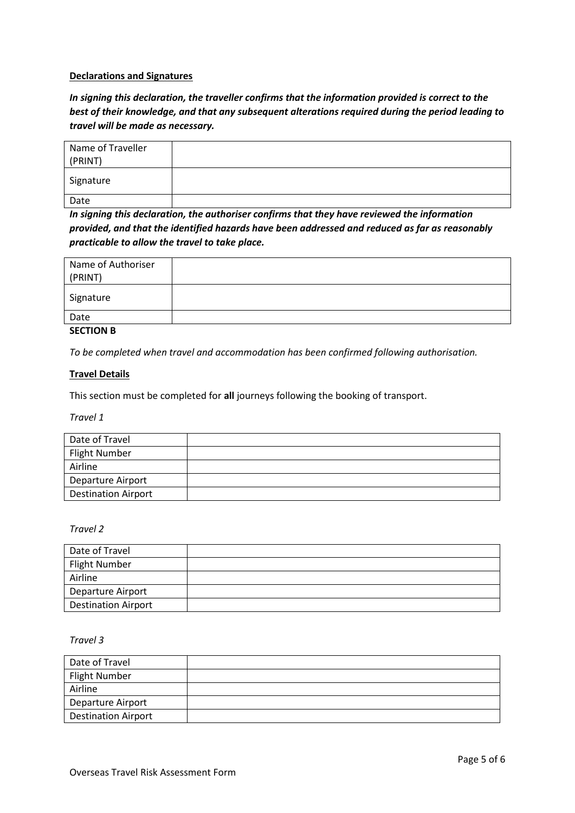### **Declarations and Signatures**

*In signing this declaration, the traveller confirms that the information provided is correct to the best of their knowledge, and that any subsequent alterations required during the period leading to travel will be made as necessary.* 

| Name of Traveller<br>(PRINT) |  |
|------------------------------|--|
| Signature                    |  |
| Date                         |  |

*In signing this declaration, the authoriser confirms that they have reviewed the information provided, and that the identified hazards have been addressed and reduced as far as reasonably practicable to allow the travel to take place.*

| Name of Authoriser<br>(PRINT) |  |
|-------------------------------|--|
| Signature                     |  |
| Date                          |  |

# **SECTION B**

*To be completed when travel and accommodation has been confirmed following authorisation.* 

### **Travel Details**

This section must be completed for **all** journeys following the booking of transport.

*Travel 1*

| Date of Travel             |  |
|----------------------------|--|
| Flight Number              |  |
| Airline                    |  |
| Departure Airport          |  |
| <b>Destination Airport</b> |  |

#### *Travel 2*

| Date of Travel             |  |
|----------------------------|--|
| <b>Flight Number</b>       |  |
| Airline                    |  |
| Departure Airport          |  |
| <b>Destination Airport</b> |  |

#### *Travel 3*

| Date of Travel             |  |
|----------------------------|--|
| Flight Number              |  |
| Airline                    |  |
| <b>Departure Airport</b>   |  |
| <b>Destination Airport</b> |  |